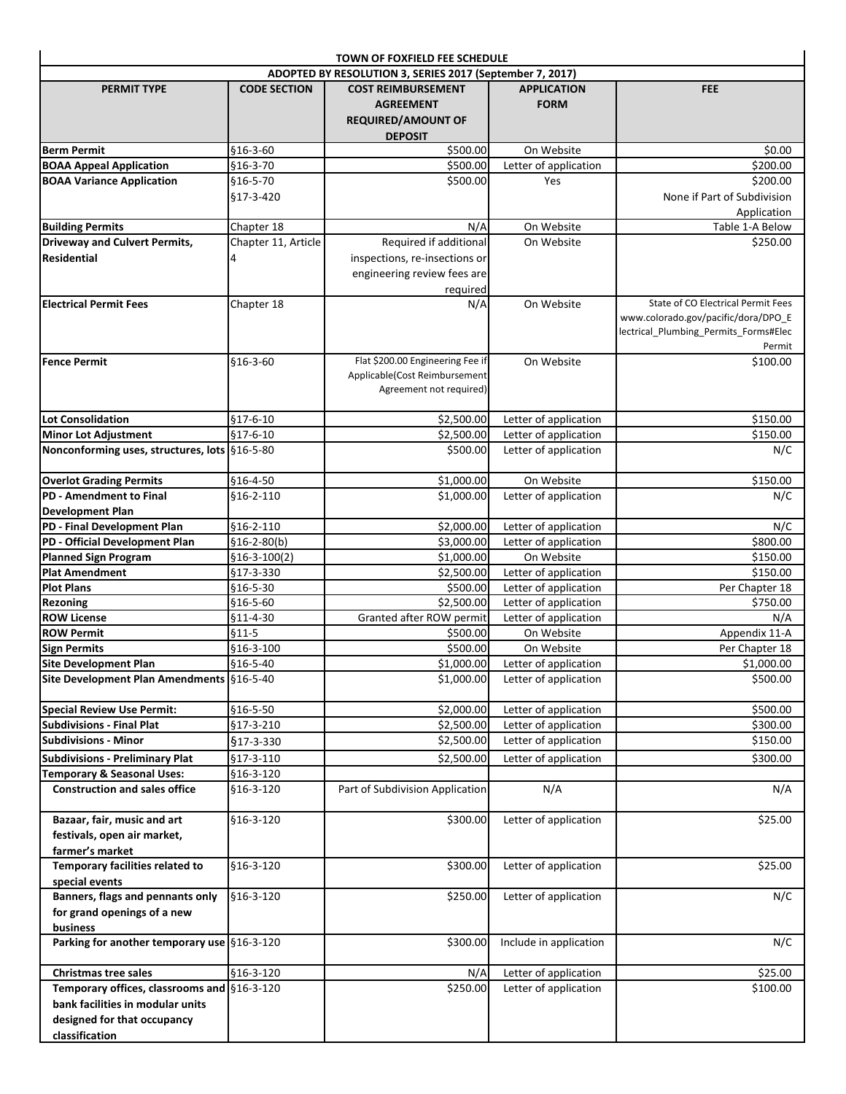|                                                                                 |                          | TOWN OF FOXFIELD FEE SCHEDULE                                                                      |                                                |                                                                                                                              |  |  |
|---------------------------------------------------------------------------------|--------------------------|----------------------------------------------------------------------------------------------------|------------------------------------------------|------------------------------------------------------------------------------------------------------------------------------|--|--|
| ADOPTED BY RESOLUTION 3, SERIES 2017 (September 7, 2017)                        |                          |                                                                                                    |                                                |                                                                                                                              |  |  |
| <b>PERMIT TYPE</b>                                                              | <b>CODE SECTION</b>      | <b>COST REIMBURSEMENT</b><br><b>AGREEMENT</b><br><b>REQUIRED/AMOUNT OF</b><br><b>DEPOSIT</b>       | <b>APPLICATION</b><br><b>FORM</b>              | <b>FEE</b>                                                                                                                   |  |  |
| <b>Berm Permit</b>                                                              | §16-3-60                 | \$500.00                                                                                           | On Website                                     | \$0.00                                                                                                                       |  |  |
| <b>BOAA Appeal Application</b>                                                  | §16-3-70                 | \$500.00                                                                                           | Letter of application                          | \$200.00                                                                                                                     |  |  |
| <b>BOAA Variance Application</b>                                                | \$16-5-70<br>§17-3-420   | \$500.00                                                                                           | Yes                                            | \$200.00<br>None if Part of Subdivision<br>Application                                                                       |  |  |
| <b>Building Permits</b>                                                         | Chapter 18               | N/A                                                                                                | On Website                                     | Table 1-A Below                                                                                                              |  |  |
| <b>Driveway and Culvert Permits,</b><br><b>Residential</b>                      | Chapter 11, Article<br>4 | Required if additional<br>inspections, re-insections or<br>engineering review fees are<br>required | On Website                                     | \$250.00                                                                                                                     |  |  |
| <b>Electrical Permit Fees</b>                                                   | Chapter 18               | N/A                                                                                                | On Website                                     | State of CO Electrical Permit Fees<br>www.colorado.gov/pacific/dora/DPO_E<br>lectrical_Plumbing_Permits_Forms#Elec<br>Permit |  |  |
| <b>Fence Permit</b>                                                             | §16-3-60                 | Flat \$200.00 Engineering Fee if<br>Applicable(Cost Reimbursement<br>Agreement not required)       | On Website                                     | \$100.00                                                                                                                     |  |  |
| Lot Consolidation                                                               | $$17-6-10$               | \$2,500.00                                                                                         | Letter of application                          | \$150.00                                                                                                                     |  |  |
| <b>Minor Lot Adjustment</b>                                                     | $$17-6-10$               | \$2,500.00                                                                                         | Letter of application                          | \$150.00                                                                                                                     |  |  |
| Nonconforming uses, structures, lots §16-5-80                                   |                          | \$500.00                                                                                           | Letter of application                          | N/C                                                                                                                          |  |  |
| <b>Overlot Grading Permits</b>                                                  | \$16-4-50                | \$1,000.00]                                                                                        | On Website                                     | \$150.00                                                                                                                     |  |  |
| PD - Amendment to Final<br><b>Development Plan</b>                              | §16-2-110                | \$1,000.00                                                                                         | Letter of application                          | N/C                                                                                                                          |  |  |
| PD - Final Development Plan                                                     | $$16-2-110$              | \$2,000.00                                                                                         | Letter of application                          | N/C                                                                                                                          |  |  |
| PD - Official Development Plan                                                  | $$16-2-80(b)$            | \$3,000.00                                                                                         | Letter of application                          | \$800.00                                                                                                                     |  |  |
| Planned Sign Program                                                            | $$16-3-100(2)$           | \$1,000.00                                                                                         | On Website                                     | \$150.00                                                                                                                     |  |  |
| <b>Plat Amendment</b>                                                           | \$17-3-330               | \$2,500.00                                                                                         | Letter of application                          | \$150.00                                                                                                                     |  |  |
| <b>Plot Plans</b>                                                               | \$16-5-30                | \$500.00                                                                                           | Letter of application                          | Per Chapter 18                                                                                                               |  |  |
| <b>Rezoning</b>                                                                 | \$16-5-60                | \$2,500.00                                                                                         | Letter of application                          | \$750.00                                                                                                                     |  |  |
| <b>ROW License</b>                                                              | $$11-4-30$               | Granted after ROW permit                                                                           | Letter of application                          | N/A                                                                                                                          |  |  |
| <b>ROW Permit</b>                                                               | $$11-5$                  | \$500.00                                                                                           | On Website                                     | Appendix 11-A                                                                                                                |  |  |
| <b>Sign Permits</b>                                                             | \$16-3-100               | \$500.00                                                                                           | On Website                                     | Per Chapter 18                                                                                                               |  |  |
| <b>Site Development Plan</b><br>Site Development Plan Amendments §16-5-40       | §16-5-40                 | \$1,000.00<br>\$1,000.00                                                                           | Letter of application<br>Letter of application | \$1,000.00<br>\$500.00                                                                                                       |  |  |
| Special Review Use Permit:                                                      | \$16-5-50                | \$2,000.00                                                                                         | Letter of application                          | \$500.00                                                                                                                     |  |  |
| <b>Subdivisions - Final Plat</b>                                                | \$17-3-210               | \$2,500.00                                                                                         | Letter of application                          | \$300.00                                                                                                                     |  |  |
| <b>Subdivisions - Minor</b>                                                     | §17-3-330                | \$2,500.00                                                                                         | Letter of application                          | \$150.00                                                                                                                     |  |  |
| <b>Subdivisions - Preliminary Plat</b>                                          | §17-3-110                | \$2,500.00                                                                                         | Letter of application                          | \$300.00                                                                                                                     |  |  |
| <b>Temporary &amp; Seasonal Uses:</b>                                           | \$16-3-120               |                                                                                                    |                                                |                                                                                                                              |  |  |
| <b>Construction and sales office</b>                                            | §16-3-120                | Part of Subdivision Application                                                                    | N/A                                            | N/A                                                                                                                          |  |  |
| Bazaar, fair, music and art<br>festivals, open air market,<br>farmer's market   | §16-3-120                | \$300.00                                                                                           | Letter of application                          | \$25.00                                                                                                                      |  |  |
| Temporary facilities related to<br>special events                               | \$16-3-120               | \$300.00                                                                                           | Letter of application                          | \$25.00                                                                                                                      |  |  |
| Banners, flags and pennants only                                                | §16-3-120                | \$250.00                                                                                           | Letter of application                          | N/C                                                                                                                          |  |  |
| for grand openings of a new<br>business                                         |                          |                                                                                                    |                                                |                                                                                                                              |  |  |
| Parking for another temporary use §16-3-120                                     |                          | \$300.00                                                                                           | Include in application                         | N/C                                                                                                                          |  |  |
| <b>Christmas tree sales</b>                                                     | §16-3-120                | N/A                                                                                                | Letter of application                          | \$25.00                                                                                                                      |  |  |
| Temporary offices, classrooms and §16-3-120<br>bank facilities in modular units |                          | \$250.00                                                                                           | Letter of application                          | \$100.00                                                                                                                     |  |  |
| designed for that occupancy<br>classification                                   |                          |                                                                                                    |                                                |                                                                                                                              |  |  |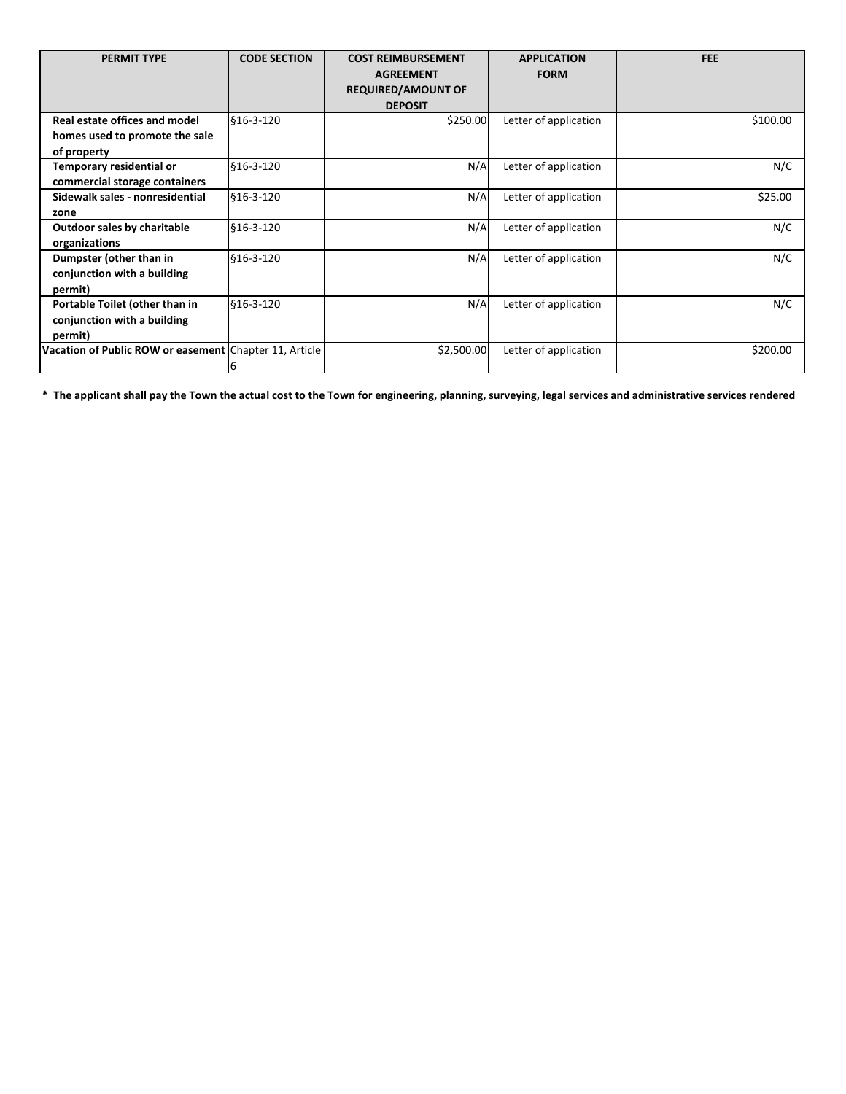| <b>PERMIT TYPE</b>                                                             | <b>CODE SECTION</b> | <b>COST REIMBURSEMENT</b><br><b>AGREEMENT</b><br><b>REQUIRED/AMOUNT OF</b><br><b>DEPOSIT</b> | <b>APPLICATION</b><br><b>FORM</b> | <b>FEE</b> |
|--------------------------------------------------------------------------------|---------------------|----------------------------------------------------------------------------------------------|-----------------------------------|------------|
| Real estate offices and model<br>homes used to promote the sale<br>of property | \$16-3-120          | \$250.00                                                                                     | Letter of application             | \$100.00   |
| Temporary residential or<br>commercial storage containers                      | \$16-3-120          | N/A                                                                                          | Letter of application             | N/C        |
| Sidewalk sales - nonresidential<br>zone                                        | \$16-3-120          | N/A                                                                                          | Letter of application             | \$25.00    |
| <b>Outdoor sales by charitable</b><br>organizations                            | \$16-3-120          | N/A                                                                                          | Letter of application             | N/C        |
| Dumpster (other than in<br>conjunction with a building<br>permit)              | \$16-3-120          | N/A                                                                                          | Letter of application             | N/C        |
| Portable Toilet (other than in<br>conjunction with a building<br>permit)       | \$16-3-120          | N/A                                                                                          | Letter of application             | N/C        |
| Vacation of Public ROW or easement Chapter 11, Article                         |                     | \$2,500.00                                                                                   | Letter of application             | \$200.00   |

**\* The applicant shall pay the Town the actual cost to the Town for engineering, planning, surveying, legal services and administrative services rendered**